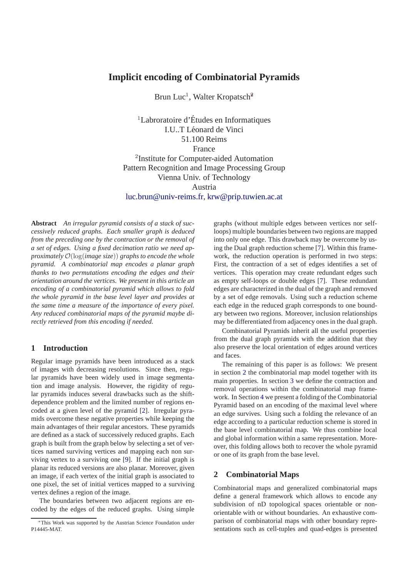# **Implicit encoding of Combinatorial Pyramids**

Brun Luc<sup>1</sup>, Walter Kropatsch<sup>2</sup>

<sup>1</sup>Labroratoire d'Etudes en Informatiques ´ I.U..T Léonard de Vinci 51.100 Reims France 2 Institute for Computer-aided Automation Pattern Recognition and Image Processing Group Vienna Univ. of Technology Austria luc.brun@univ-reims.fr, krw@prip.tuwien.ac.at

**Abstract** *An irregular pyramid consists of a stack of successively reduced graphs. Each smaller graph is deduced from the preceding one by the contraction or the removal of a set of edges. Using a fixed decimation ratio we need approximately* O(log(*image size*)) *graphs to encode the whole pyramid. A combinatorial map encodes a planar graph thanks to two permutations encoding the edges and their orientation around the vertices. We present in this article an encoding of a combinatorial pyramid which allows to fold the whole pyramid in the base level layer and provides at the same time a measure of the importance of every pixel. Any reduced combinatorial maps of the pyramid maybe directly retrieved from this encoding if needed.*

# **1 Introduction**

Regular image pyramids have been introduced as a stack of images with decreasing resolutions. Since then, regular pyramids have been widely used in image segmentation and image analysis. However, the rigidity of regular pyramids induces several drawbacks such as the shiftdependence problem and the limited number of regions encoded at a given level of the pyramid [2]. Irregular pyramids overcome these negative properties while keeping the main advantages of their regular ancestors. These pyramids are defined as a stack of successively reduced graphs. Each graph is built from the graph below by selecting a set of vertices named surviving vertices and mapping each non surviving vertex to a surviving one [9]. If the initial graph is planar its reduced versions are also planar. Moreover, given an image, if each vertex of the initial graph is associated to one pixel, the set of initial vertices mapped to a surviving vertex defines a region of the image.

The boundaries between two adjacent regions are encoded by the edges of the reduced graphs. Using simple graphs (without multiple edges between vertices nor selfloops) multiple boundaries between two regions are mapped into only one edge. This drawback may be overcome by using the Dual graph reduction scheme [7]. Within this framework, the reduction operation is performed in two steps: First, the contraction of a set of edges identifies a set of vertices. This operation may create redundant edges such as empty self-loops or double edges [7]. These redundant edges are characterized in the dual of the graph and removed by a set of edge removals. Using such a reduction scheme each edge in the reduced graph corresponds to one boundary between two regions. Moreover, inclusion relationships may be differentiated from adjacency ones in the dual graph.

Combinatorial Pyramids inherit all the useful properties from the dual graph pyramids with the addition that they also preserve the local orientation of edges around vertices and faces.

The remaining of this paper is as follows: We present in section 2 the combinatorial map model together with its main properties. In section 3 we define the contraction and removal operations within the combinatorial map framework. In Section 4 we present a folding of the Combinatorial Pyramid based on an encoding of the maximal level where an edge survives. Using such a folding the relevance of an edge according to a particular reduction scheme is stored in the base level combinatorial map. We thus combine local and global information within a same representation. Moreover, this folding allows both to recover the whole pyramid or one of its graph from the base level.

# **2 Combinatorial Maps**

Combinatorial maps and generalized combinatorial maps define a general framework which allows to encode any subdivision of nD topological spaces orientable or nonorientable with or without boundaries. An exhaustive comparison of combinatorial maps with other boundary representations such as cell-tuples and quad-edges is presented

<sup>∗</sup>This Work was supported by the Austrian Science Foundation under P14445-MAT.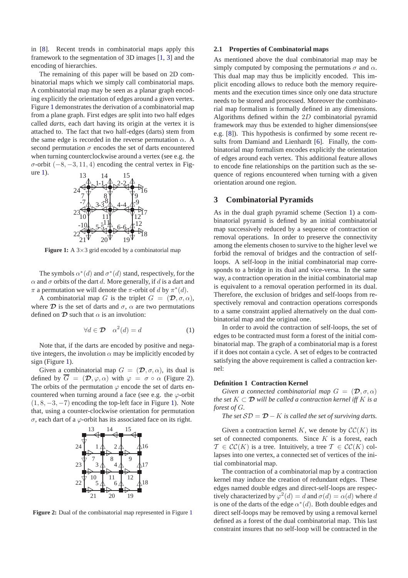in [8]. Recent trends in combinatorial maps apply this framework to the segmentation of 3D images [1, 3] and the encoding of hierarchies.

The remaining of this paper will be based on 2D combinatorial maps which we simply call combinatorial maps. A combinatorial map may be seen as a planar graph encoding explicitly the orientation of edges around a given vertex. Figure 1 demonstrates the derivation of a combinatorial map from a plane graph. First edges are split into two half edges called *darts*, each dart having its origin at the vertex it is attached to. The fact that two half-edges (darts) stem from the same edge is recorded in the reverse permutation  $\alpha$ . A second permutation  $\sigma$  encodes the set of darts encountered when turning counterclockwise around a vertex (see e.g. the  $\sigma$ -orbit (−8, −3, 11, 4) encoding the central vertex in Figure 1).



**Figure 1:** A 3×3 grid encoded by a combinatorial map

The symbols  $\alpha^*(d)$  and  $\sigma^*(d)$  stand, respectively, for the  $\alpha$  and  $\sigma$  orbits of the dart d. More generally, if d is a dart and  $\pi$  a permutation we will denote the  $\pi$ -orbit of d by  $\pi^*(d)$ .

A combinatorial map G is the triplet  $G = (\mathcal{D}, \sigma, \alpha)$ , where  $\mathcal D$  is the set of darts and  $\sigma$ ,  $\alpha$  are two permutations defined on  $\mathcal D$  such that  $\alpha$  is an involution:

$$
\forall d \in \mathcal{D} \quad \alpha^2(d) = d \tag{1}
$$

Note that, if the darts are encoded by positive and negative integers, the involution  $\alpha$  may be implicitly encoded by sign (Figure 1).

Given a combinatorial map  $G = (\mathcal{D}, \sigma, \alpha)$ , its dual is defined by  $\overline{G} = (\mathcal{D}, \varphi, \alpha)$  with  $\varphi = \sigma \circ \alpha$  (Figure 2). The orbits of the permutation  $\varphi$  encode the set of darts encountered when turning around a face (see e.g. the  $\varphi$ -orbit  $(1, 8, -3, -7)$  encoding the top-left face in Figure 1). Note that, using a counter-clockwise orientation for permutation σ, each dart of a ϕ-orbit has its associated face on its right.



**Figure 2:** Dual of the combinatorial map represented in Figure 1

### **2.1 Properties of Combinatorial maps**

As mentioned above the dual combinatorial map may be simply computed by composing the permutations  $\sigma$  and  $\alpha$ . This dual map may thus be implicitly encoded. This implicit encoding allows to reduce both the memory requirements and the execution times since only one data structure needs to be stored and processed. Moreover the combinatorial map formalism is formally defined in any dimensions. Algorithms defined within the 2D combinatorial pyramid framework may thus be extended to higher dimensions(see e.g. [8]). This hypothesis is confirmed by some recent results from Damiand and Lienhardt [6]. Finally, the combinatorial map formalism encodes explicitly the orientation of edges around each vertex. This additional feature allows to encode fine relationships on the partition such as the sequence of regions encountered when turning with a given orientation around one region.

# **3 Combinatorial Pyramids**

As in the dual graph pyramid scheme (Section 1) a combinatorial pyramid is defined by an initial combinatorial map successively reduced by a sequence of contraction or removal operations. In order to preserve the connectivity among the elements chosen to survive to the higher level we forbid the removal of bridges and the contraction of selfloops. A self-loop in the initial combinatorial map corresponds to a bridge in its dual and vice-versa. In the same way, a contraction operation in the initial combinatorial map is equivalent to a removal operation performed in its dual. Therefore, the exclusion of bridges and self-loops from respectively removal and contraction operations corresponds to a same constraint applied alternatively on the dual combinatorial map and the original one.

In order to avoid the contraction of self-loops, the set of edges to be contracted must form a forest of the initial combinatorial map. The graph of a combinatorial map is a forest if it does not contain a cycle. A set of edges to be contracted satisfying the above requirement is called a contraction kernel:

#### **Definition 1 Contraction Kernel**

*Given a connected combinatorial map*  $G = (\mathcal{D}, \sigma, \alpha)$ *the set*  $K \subset \mathcal{D}$  *will be called a contraction kernel iff* K *is a forest of* G*.*

*The set*  $SD = D - K$  *is called the set of surviving darts.* 

Given a contraction kernel K, we denote by  $\mathcal{CC}(K)$  its set of connected components. Since  $K$  is a forest, each  $\mathcal{T} \in \mathcal{CC}(K)$  is a tree. Intuitively, a tree  $\mathcal{T} \in \mathcal{CC}(K)$  collapses into one vertex, a connected set of vertices of the initial combinatorial map.

The contraction of a combinatorial map by a contraction kernel may induce the creation of redundant edges. These edges named double edges and direct-self-loops are respectively characterized by  $\varphi^2(d) = d$  and  $\sigma(d) = \alpha(d)$  where d is one of the darts of the edge  $\alpha^*(d)$ . Both double edges and direct self-loops may be removed by using a removal kernel defined as a forest of the dual combinatorial map. This last constraint insures that no self-loop will be contracted in the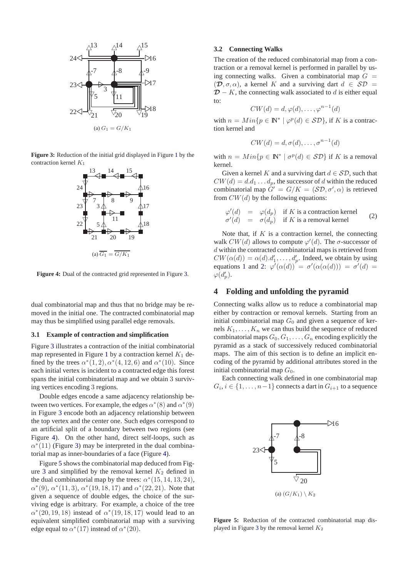

**Figure 3:** Reduction of the initial grid displayed in Figure 1 by the contraction kernel  $K_1$ 



**Figure 4:** Dual of the contracted grid represented in Figure 3.

dual combinatorial map and thus that no bridge may be removed in the initial one. The contracted combinatorial map may thus be simplified using parallel edge removals.

#### **3.1 Example of contraction and simplification**

Figure 3 illustrates a contraction of the initial combinatorial map represented in Figure 1 by a contraction kernel  $K_1$  defined by the trees  $\alpha^*(1,2), \alpha^*(4,12,6)$  and  $\alpha^*(10)$ . Since each initial vertex is incident to a contracted edge this forest spans the initial combinatorial map and we obtain 3 surviving vertices encoding 3 regions.

Double edges encode a same adjacency relationship between two vertices. For example, the edges  $\alpha^*(8)$  and  $\alpha^*(9)$ in Figure 3 encode both an adjacency relationship between the top vertex and the center one. Such edges correspond to an artificial split of a boundary between two regions (see Figure 4). On the other hand, direct self-loops, such as  $\alpha^*(11)$  (Figure 3) may be interpreted in the dual combinatorial map as inner-boundaries of a face (Figure 4).

Figure 5 shows the combinatorial map deduced from Figure 3 and simplified by the removal kernel  $K_2$  defined in the dual combinatorial map by the trees:  $\alpha^*(15, 14, 13, 24)$ ,  $\alpha^*(9)$ ,  $\alpha^*(11,3)$ ,  $\alpha^*(19,18,17)$  and  $\alpha^*(22,21)$ . Note that given a sequence of double edges, the choice of the surviving edge is arbitrary. For example, a choice of the tree  $\alpha^*(20, 19, 18)$  instead of  $\alpha^*(19, 18, 17)$  would lead to an equivalent simplified combinatorial map with a surviving edge equal to  $\alpha^*(17)$  instead of  $\alpha^*(20)$ .

### **3.2 Connecting Walks**

The creation of the reduced combinatorial map from a contraction or a removal kernel is performed in parallel by using connecting walks. Given a combinatorial map  $G =$  $(\mathcal{D}, \sigma, \alpha)$ , a kernel K and a surviving dart  $d \in \mathcal{SD}$  $D - K$ , the connecting walk associated to d is either equal to:

$$
CW(d) = d, \varphi(d), \dots, \varphi^{n-1}(d)
$$

with  $n = Min\{p \in \mathbb{N}^* \mid \varphi^p(d) \in \mathcal{SD}\}\)$ , if K is a contraction kernel and

$$
CW(d) = d, \sigma(d), \ldots, \sigma^{n-1}(d)
$$

with  $n = Min\{p \in \mathbb{N}^* \mid \sigma^p(d) \in \mathcal{SD}\}\$ if K is a removal kernel.

Given a kernel K and a surviving dart  $d \in \mathcal{SD}$ , such that  $CW(d) = d.d_1 \dots d_p$ , the successor of d within the reduced combinatorial map  $G' = G/K = (\mathcal{SD}, \sigma', \alpha)$  is retrieved from  $CW(d)$  by the following equations:

$$
\varphi'(d) = \varphi(d_p) \text{ if } K \text{ is a contraction kernel}
$$
  
\n
$$
\sigma'(d) = \sigma(d_p) \text{ if } K \text{ is a removal kernel}
$$
 (2)

Note that, if  $K$  is a contraction kernel, the connecting walk  $CW(d)$  allows to compute  $\varphi'(d)$ . The  $\sigma$ -successor of d within the contracted combinatorial maps is retrieved from  $CW(\alpha(d)) = \alpha(d) \cdot d'_1, \ldots, d'_p$ . Indeed, we obtain by using equations 1 and 2:  $\varphi'(\alpha(d)) = \sigma'(\alpha(\alpha(d))) = \sigma'(d) =$  $\varphi(d'_p)$ .

## **4 Folding and unfolding the pyramid**

Connecting walks allow us to reduce a combinatorial map either by contraction or removal kernels. Starting from an initial combinatorial map  $G_0$  and given a sequence of kernels  $K_1, \ldots, K_n$  we can thus build the sequence of reduced combinatorial maps  $G_0, G_1, \ldots, G_n$  encoding explicitly the pyramid as a stack of successively reduced combinatorial maps. The aim of this section is to define an implicit encoding of the pyramid by additional attributes stored in the initial combinatorial map  $G_0$ .

Each connecting walk defined in one combinatorial map  $G_i, i \in \{1, \ldots, n-1\}$  connects a dart in  $G_{i+1}$  to a sequence



**Figure 5:** Reduction of the contracted combinatorial map displayed in Figure 3 by the removal kernel  $K_2$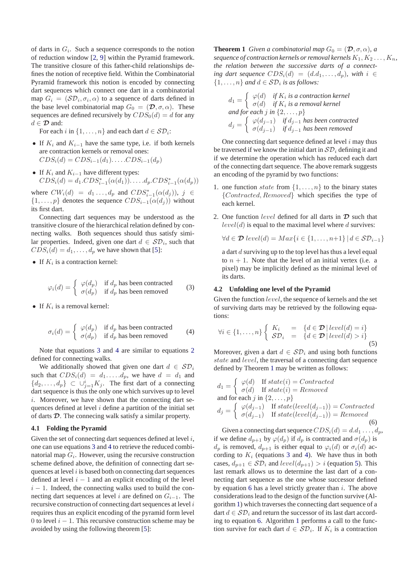of darts in  $G_i$ . Such a sequence corresponds to the notion of reduction window [2, 9] within the Pyramid framework. The transitive closure of this father-child relationships defines the notion of receptive field. Within the Combinatorial Pyramid framework this notion is encoded by connecting dart sequences which connect one dart in a combinatorial map  $G_i = (\mathcal{SD}_i, \sigma_i, \alpha)$  to a sequence of darts defined in the base level combinatorial map  $G_0 = (\mathcal{D}, \sigma, \alpha)$ . These sequences are defined recursively by  $CDS_0(d) = d$  for any  $d \in \mathcal{D}$  and:

For each i in  $\{1, \ldots, n\}$  and each dart  $d \in \mathcal{SD}_i$ :

- If  $K_i$  and  $K_{i-1}$  have the same type, i.e. if both kernels are contraction kernels or removal ones:  $CDS_i(d) = CDS_{i-1}(d_1)...CDS_{i-1}(d_n)$
- If  $K_i$  and  $K_{i-1}$  have different types:  $CDS_i(d) = d_1.CDS_{i-1}^*(\alpha(d_1)) \dots d_p.CDS_{i-1}^*(\alpha(d_p))$

where  $CW_i(d) = d_1 \ldots, d_p$  and  $CDS_{i-1}^*(\alpha(d_j)), j \in$  $\{1,\ldots,p\}$  denotes the sequence  $CDS_{i-1}(\alpha(d_i))$  without its first dart.

Connecting dart sequences may be understood as the transitive closure of the hierarchical relation defined by connecting walks. Both sequences should thus satisfy similar properties. Indeed, given one dart  $d \in \mathcal{SD}_i$ , such that  $CDS_i(d) = d_1, \ldots, d_p$  we have shown that [5]:

• If  $K_i$  is a contraction kernel:

$$
\varphi_i(d) = \begin{cases} \varphi(d_p) & \text{if } d_p \text{ has been contracted} \\ \sigma(d_p) & \text{if } d_p \text{ has been removed} \end{cases}
$$
 (3)

• If  $K_i$  is a removal kernel:

$$
\sigma_i(d) = \begin{cases} \varphi(d_p) & \text{if } d_p \text{ has been contracted} \\ \sigma(d_p) & \text{if } d_p \text{ has been removed} \end{cases}
$$
 (4)

Note that equations 3 and 4 are similar to equations 2 defined for connecting walks.

We additionally showed that given one dart  $d \in \mathcal{SD}_i$ such that  $CDS_i(d) = d_1 \dots d_p$ , we have  $d = d_1$  and  $\{d_2, \ldots, d_p\} \subset \cup_{j=1}^i K_j$ . The first dart of a connecting dart sequence is thus the only one which survives up to level i. Moreover, we have shown that the connecting dart sequences defined at level  $i$  define a partition of the initial set of darts D. The connecing walk satisfy a similar property.

#### **4.1 Folding the Pyramid**

Given the set of connecting dart sequences defined at level  $i$ , one can use equations 3 and 4 to retrieve the reduced combinatorial map  $G_i$ . However, using the recursive construction scheme defined above, the definition of connecting dart sequences at level  $i$  is based both on connecting dart sequences defined at level  $i - 1$  and an explicit encoding of the level  $i - 1$ . Indeed, the connecting walks used to build the connecting dart sequences at level i are defined on  $G_{i-1}$ . The recursive construction of connecting dart sequences at level  $i$ requires thus an explicit encoding of the pyramid form level 0 to level  $i - 1$ . This recursive construction scheme may be avoided by using the following theorem [5]:

**Theorem 1** *Given a combinatorial map*  $G_0 = (\mathcal{D}, \sigma, \alpha)$ *, a sequence of contraction kernels or removal kernels*  $K_1, K_2, \ldots, K_n$ , *the relation between the successive darts of a connecting dart sequence*  $CDS_i(d) = (d.d_1, \ldots, d_n)$ *, with*  $i \in$  $\{1, \ldots, n\}$  and  $d \in \mathcal{SD}_i$  is as follows:

$$
d_1 = \begin{cases} \varphi(d) & \text{if } K_i \text{ is a contraction } kernel \\ \sigma(d) & \text{if } K_i \text{ is a removal } kernel \end{cases}
$$
  
and for each j in  $\{2, ..., p\}$   

$$
d_j = \begin{cases} \varphi(d_{j-1}) & \text{if } d_{j-1} \text{ has been contracted} \\ \sigma(d_{j-1}) & \text{if } d_{j-1} \text{ has been removed} \end{cases}
$$

One connecting dart sequence defined at level  $i$  may thus be traversed if we know the initial dart in  $\mathcal{SD}_i$  defining it and if we determine the operation which has reduced each dart of the connecting dart sequence. The above remark suggests an encoding of the pyramid by two functions:

- 1. one function *state* from  $\{1, \ldots, n\}$  to the binary states {Contracted, Removed} which specifies the type of each kernel.
- 2. One function *level* defined for all darts in  $\mathcal{D}$  such that  $level(d)$  is equal to the maximal level where d survives:

$$
\forall d \in \mathcal{D} \ level(d) = Max\{i \in \{1, \dots, n+1\} \mid d \in \mathcal{SD}_{i-1}\}
$$

a dart d surviving up to the top level has thus a level equal to  $n + 1$ . Note that the level of an initial vertex (i.e. a pixel) may be implicitly defined as the minimal level of its darts.

## **4.2 Unfolding one level of the Pyramid**

Given the function level, the sequence of kernels and the set of surviving darts may be retrieved by the following equations:

$$
\forall i \in \{1, ..., n\} \left\{ \begin{array}{rcl} K_i & = & \{d \in \mathcal{D} \mid level(d) = i\} \\ \mathcal{SD}_i & = & \{d \in \mathcal{D} \mid level(d) > i\} \end{array} \right. \tag{5}
$$

Moreover, given a dart  $d \in \mathcal{SD}_i$  and using both functions state and level, the traversal of a connecting dart sequence defined by Theorem 1 may be written as follows:

$$
d_1 = \begin{cases} \varphi(d) & \text{If state}(i) = Contracted \\ \sigma(d) & \text{If state}(i) = Removed \end{cases}
$$
  
and for each  $j$  in  $\{2, ..., p\}$   

$$
d_j = \begin{cases} \varphi(d_{j-1}) & \text{If state}(level(d_{j-1})) = Contracted \\ \sigma(d_{j-1}) & \text{If state}(level(d_{j-1})) = Removed \end{cases}
$$
(6)

Given a connecting dart sequence  $CDS_i(d) = d.d_1 \ldots, d_p$ , if we define  $d_{p+1}$  by  $\varphi(d_p)$  if  $d_p$  is contracted and  $\sigma(d_p)$  is  $d_p$  is removed,  $d_{p+1}$  is either equal to  $\varphi_i(d)$  or  $\sigma_i(d)$  according to  $K_i$  (equations 3 and 4). We have thus in both cases,  $d_{p+1} \in \mathcal{SD}_i$  and  $level(d_{p+1}) > i$  (equation 5). This last remark allows us to determine the last dart of a connecting dart sequence as the one whose successor defined by equation 6 has a level strictly greater than  $i$ . The above considerations lead to the design of the function survive (Algorithm 1) which traverses the connecting dart sequence of a dart  $d \in \mathcal{SD}_i$  and return the successor of its last dart according to equation 6. Algorithm 1 performs a call to the function survive for each dart  $d \in \mathcal{SD}_i$ . If  $K_i$  is a contraction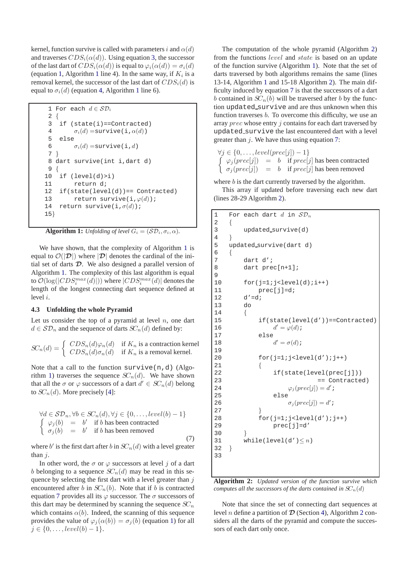kernel, function survive is called with parameters i and  $\alpha(d)$ and traverses  $CDS<sub>i</sub>(\alpha(d))$ . Using equation 3, the successor of the last dart of  $CDS_i(\alpha(d))$  is equal to  $\varphi_i(\alpha(d)) = \sigma_i(d)$ (equation 1, Algorithm 1 line 4). In the same way, if  $K_i$  is a removal kernel, the successor of the last dart of  $CDS_i(d)$  is equal to  $\sigma_i(d)$  (equation 4, Algorithm 1 line 6).

```
1 For each d \in \mathcal{SD}_i2 {
 3 if (state(i)==Contracted)
 4 \sigma_i(d) = \text{survive}(i, \alpha(d))5 else
 6 \sigma_i(d) = \text{survive}(i,d)7 }
 8 dart survive(int i,dart d)
 9 {
10 if (level(d)>i)
11 return d;
12 if(state(level(d))== Contracted)
13 return survive(i,\varphi(d));
14 return survive(i,\sigma(d));
15}
```
**Algorithm 1:** *Unfolding of level*  $G_i = (\mathcal{SD}_i, \sigma_i, \alpha)$ *.* 

We have shown, that the complexity of Algorithm 1 is equal to  $\mathcal{O}(|\mathcal{D}|)$  where  $|\mathcal{D}|$  denotes the cardinal of the initial set of darts  $D$ . We also designed a parallel version of Algorithm 1. The complexity of this last algorithm is equal to  $\mathcal{O}(\log(|CDS_i^{max}(d)|))$  where  $|CDS_i^{max}(d)|$  denotes the length of the longest connecting dart sequence defined at level i.

#### **4.3 Unfolding the whole Pyramid**

Let us consider the top of a pyramid at level  $n$ , one dart  $d \in \mathcal{SD}_n$  and the sequence of darts  $SC_n(d)$  defined by:

$$
SC_n(d) = \begin{cases} CDS_n(d)\varphi_n(d) & \text{if } K_n \text{ is a contraction kernel} \\ CDS_n(d)\sigma_n(d) & \text{if } K_n \text{ is a removal kernel.} \end{cases}
$$

Note that a call to the function survive  $(n,d)$  (Algorithm 1) traverses the sequence  $SC_n(d)$ . We have shown that all the  $\sigma$  or  $\varphi$  successors of a dart  $d' \in SC_n(d)$  belong to  $SC_n(d)$ . More precisely [4]:

$$
\forall d \in SD_n, \forall b \in SC_n(d), \forall j \in \{0, ..., level(b) - 1\}
$$
  

$$
\begin{cases} \varphi_j(b) = b' & \text{if } b \text{ has been contracted} \\ \sigma_j(b) = b' & \text{if } b \text{ has been removed} \end{cases}
$$
 (7)

where b' is the first dart after b in  $SC_n(d)$  with a level greater than  $i$ .

In other word, the  $\sigma$  or  $\varphi$  successors at level j of a dart b belonging to a sequence  $SC_n(d)$  may be read in this sequence by selecting the first dart with a level greater than  $j$ encountered after b in  $SC_n(b)$ . Note that if b is contracted equation 7 provides all its  $\varphi$  successor. The  $\sigma$  successors of this dart may be determined by scanning the sequence  $SC_n$ which contains  $\alpha(b)$ . Indeed, the scanning of this sequence provides the value of  $\varphi_i(\alpha(b)) = \sigma_i(b)$  (equation 1) for all  $j \in \{0, \ldots, level(b) - 1\}.$ 

The computation of the whole pyramid (Algorithm 2) from the functions level and state is based on an update of the function survive (Algorithm 1). Note that the set of darts traversed by both algorithms remains the same (lines 13-14, Algorithm 1 and 15-18 Algorithm 2). The main difficulty induced by equation 7 is that the successors of a dart b contained in  $SC_n(b)$  will be traversed after b by the function updated survive and are thus unknown when this function traverses b. To overcome this difficulty, we use an array *prec* whose entry *j* contains for each dart traversed by updated survive the last encountered dart with a level greater than  $j$ . We have thus using equation 7:

$$
\forall j \in \{0, ..., level(prec[j]) - 1\}
$$
  

$$
\begin{cases} \varphi_j(prec[j]) = b & \text{if } prec[j] \text{ has been contracted} \\ \sigma_j(prec[j]) = b & \text{if } prec[j] \text{ has been removed} \end{cases}
$$

where  $b$  is the dart currently traversed by the algorithm. This array if updated before traversing each new dart (lines 28-29 Algorithm 2).

```
1 For each dart d in SD_n2 {
3 updated survive(d)
4 }
5 updated survive(dart d)
6 {
7 dart d';
8 dart prec[n+1];
\mathsf{Q}10 for(i=1; j<level(d); i++)11 prec[j]=d;
12 d' = di13 do
14 {
15 if(state(level(d'))==Contracted)
16 d
             d' = \varphi(d);
17 else
18 d
             d' = \sigma(d);
19
20 for(j=1:j<level(d');j++)21 {
22 if(state(level(prec[j]))<br>23 = Contracte
                       == Contracted)
24 \varphi_j(\text{prec}[j]) = d';
25 else
26 \sigma_j(prec[j]) = d';
27 }
28 for(i=1; j<level(d'); j++)29 prec[j]=d'
3031 while(level(d')\leq n)
32 }
33
```
**Algorithm 2:** *Updated version of the function survive which computes all the successors of the darts contained in*  $SC_n(d)$ 

Note that since the set of connecting dart sequences at level *n* define a partition of  $\mathcal D$  (Section 4), Algorithm 2 considers all the darts of the pyramid and compute the successors of each dart only once.